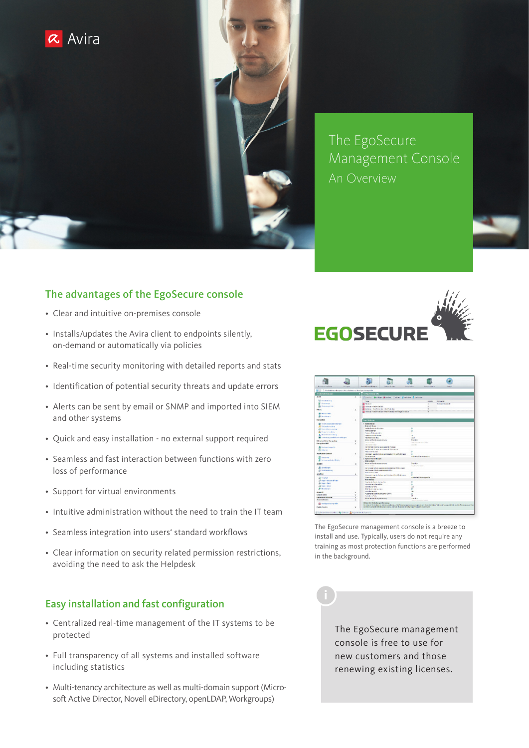

The EgoSecure Management Console An Overview

# The advantages of the EgoSecure console

- Clear and intuitive on-premises console
- Installs/updates the Avira client to endpoints silently, on-demand or automatically via policies
- Real-time security monitoring with detailed reports and stats
- Identification of potential security threats and update errors
- Alerts can be sent by email or SNMP and imported into SIEM and other systems
- Quick and easy installation no external support required
- Seamless and fast interaction between functions with zero loss of performance
- Support for virtual environments
- Intuitive administration without the need to train the IT team
- Seamless integration into users' standard workflows
- Clear information on security related permission restrictions, avoiding the need to ask the Helpdesk

# Easy installation and fast configuration

- Centralized real-time management of the IT systems to be protected
- Full transparency of all systems and installed software including statistics
- Multi-tenancy architecture as well as multi-domain support (Microsoft Active Director, Novell eDirectory, openLDAP, Workgroups)





The EgoSecure management console is a breeze to install and use. Typically, users do not require any training as most protection functions are performed in the background.

> The EgoSecure management console is free to use for new customers and those renewing existing licenses.